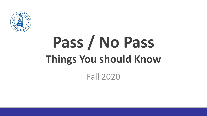

# **Pass / No Pass Things You should Know**

Fall 2020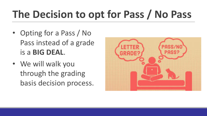#### **The Decision to opt for Pass / No Pass**

- Opting for a Pass / No Pass instead of a grade is a **BIG DEAL**.
- We will walk you through the grading basis decision process.

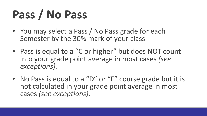## **Pass / No Pass**

- You may select a Pass / No Pass grade for each Semester by the 30% mark of your class
- Pass is equal to a "C or higher" but does NOT count into your grade point average in most cases *(see exceptions).*
- No Pass is equal to a "D" or "F" course grade but it is not calculated in your grade point average in most cases *(see exceptions).*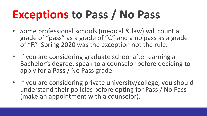### **Exceptions to Pass / No Pass**

- Some professional schools (medical & law) will count a grade of "pass" as a grade of "C" and a no pass as a grade of "F." Spring 2020 was the exception not the rule.
- If you are considering graduate school after earning a Bachelor's degree, speak to a counselor before deciding to apply for a Pass / No Pass grade.
- If you are considering private university/college, you should understand their policies before opting for Pass / No Pass (make an appointment with a counselor).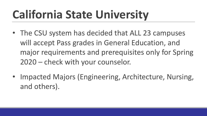## **California State University**

- The CSU system has decided that ALL 23 campuses will accept Pass grades in General Education, and major requirements and prerequisites only for Spring 2020 – check with your counselor.
- Impacted Majors (Engineering, Architecture, Nursing, and others).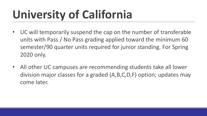### **University of California**

- UC will temporarily suspend the cap on the number of transferable units with Pass / No Pass grading applied toward the minimum 60 semester/90 quarter units required for junior standing. For Spring 2020 only.
- All other UC campuses are recommending students take all lower division major classes for a graded (A,B,C,D,F) option; updates may come later.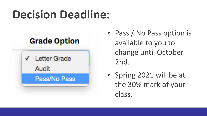#### **Decision Deadline:**



- Pass / No Pass option is available to you to change until October 2nd.
- Spring 2021 will be at the 30% mark of your class.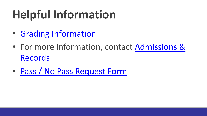# **Helpful Information**

- **Grading Information**
- For more information, contact Admissions **Records**
- Pass / No Pass Request Form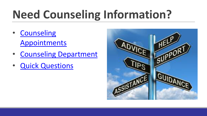# **Need Counseling Information?**

- **Counseling Appointments**
- **Counseling Department**
- **Quick Questions**